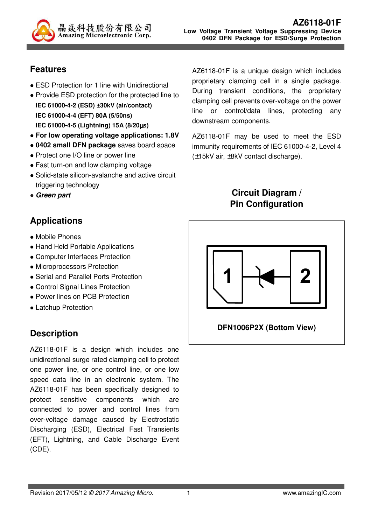

## **Features**

- ESD Protection for 1 line with Unidirectional
- Provide ESD protection for the protected line to **IEC 61000-4-2 (ESD) ±30kV (air/contact) IEC 61000-4-4 (EFT) 80A (5/50ns) IEC 61000-4-5 (Lightning) 15A (8/20**µ**s)**
- **For low operating voltage applications: 1.8V**
- **0402 small DFN package** saves board space
- Protect one I/O line or power line
- Fast turn-on and low clamping voltage
- Solid-state silicon-avalanche and active circuit triggering technology
- **Green part**

# **Applications**

- Mobile Phones
- Hand Held Portable Applications
- Computer Interfaces Protection
- Microprocessors Protection
- Serial and Parallel Ports Protection
- Control Signal Lines Protection
- Power lines on PCB Protection
- Latchup Protection

# **Description**

AZ6118-01F is a design which includes one unidirectional surge rated clamping cell to protect one power line, or one control line, or one low speed data line in an electronic system. The AZ6118-01F has been specifically designed to protect sensitive components which are connected to power and control lines from over-voltage damage caused by Electrostatic Discharging (ESD), Electrical Fast Transients (EFT), Lightning, and Cable Discharge Event (CDE).

AZ6118-01F is a unique design which includes proprietary clamping cell in a single package. During transient conditions, the proprietary clamping cell prevents over-voltage on the power line or control/data lines, protecting any downstream components.

AZ6118-01F may be used to meet the ESD immunity requirements of IEC 61000-4-2, Level 4 (±15kV air, ±8kV contact discharge).

## **Circuit Diagram / Pin Configuration**



#### **DFN1006P2X (Bottom View)**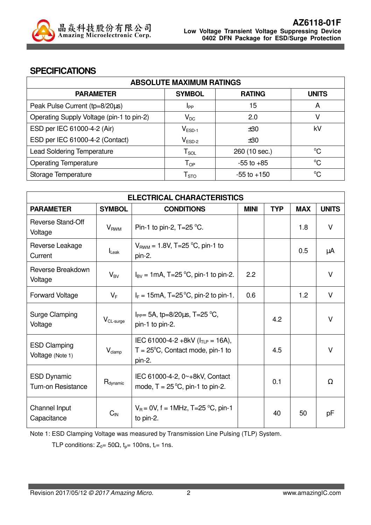

#### **SPECIFICATIONS**

| <b>ABSOLUTE MAXIMUM RATINGS</b>           |                            |                 |              |
|-------------------------------------------|----------------------------|-----------------|--------------|
| <b>PARAMETER</b>                          | <b>SYMBOL</b>              | <b>RATING</b>   | <b>UNITS</b> |
| Peak Pulse Current (tp=8/20µs)            | Ipp                        | 15              | A            |
| Operating Supply Voltage (pin-1 to pin-2) | $V_{DC}$                   | 2.0             | V            |
| ESD per IEC 61000-4-2 (Air)               | $V_{ESD-1}$                | ±30             | kV           |
| ESD per IEC 61000-4-2 (Contact)           | $V_{ESD-2}$                | ±30             |              |
| <b>Lead Soldering Temperature</b>         | $T_{SOL}$                  | 260 (10 sec.)   | $^{\circ}C$  |
| <b>Operating Temperature</b>              | $\mathsf{T}_{\mathsf{OP}}$ | $-55$ to $+85$  | $^{\circ}C$  |
| Storage Temperature                       | ${\sf T}_{\text{STO}}$     | $-55$ to $+150$ | $^{\circ}C$  |

| <b>ELECTRICAL CHARACTERISTICS</b>               |                        |                                                                                                |             |            |            |              |
|-------------------------------------------------|------------------------|------------------------------------------------------------------------------------------------|-------------|------------|------------|--------------|
| <b>PARAMETER</b>                                | <b>SYMBOL</b>          | <b>CONDITIONS</b>                                                                              | <b>MINI</b> | <b>TYP</b> | <b>MAX</b> | <b>UNITS</b> |
| <b>Reverse Stand-Off</b><br>Voltage             | <b>V<sub>RWM</sub></b> | Pin-1 to pin-2, $T=25$ °C.                                                                     |             |            | 1.8        | $\vee$       |
| Reverse Leakage<br>Current                      | $I_{\text{Leak}}$      | $V_{\text{RWM}}$ = 1.8V, T=25 °C, pin-1 to<br>pin-2.                                           |             |            | 0.5        | μA           |
| Reverse Breakdown<br>Voltage                    | $V_{BV}$               | $I_{BV} = 1 \text{mA}$ , T=25 °C, pin-1 to pin-2.                                              | 2.2         |            |            | V            |
| Forward Voltage                                 | $V_F$                  | $I_F = 15 \text{mA}, T = 25 \text{°C}, \text{pin-2 to pin-1}.$                                 | 0.6         |            | 1.2        | V            |
| Surge Clamping<br>Voltage                       | V <sub>CL-surge</sub>  | $I_{PP}$ = 5A, tp=8/20 $\mu$ s, T=25 °C,<br>pin-1 to pin-2.                                    |             | 4.2        |            | $\vee$       |
| <b>ESD Clamping</b><br>Voltage (Note 1)         | $V_{\text{clamp}}$     | IEC 61000-4-2 +8kV ( $I_{TLP}$ = 16A),<br>$T = 25^{\circ}C$ , Contact mode, pin-1 to<br>pin-2. |             | 4.5        |            | V            |
| <b>ESD Dynamic</b><br><b>Turn-on Resistance</b> | $R_{\text{dynamic}}$   | IEC 61000-4-2, 0~+8kV, Contact<br>mode, $T = 25^{\circ}C$ , pin-1 to pin-2.                    |             | 0.1        |            | $\Omega$     |
| Channel Input<br>Capacitance                    | $C_{IN}$               | $V_B = 0V$ , f = 1MHz, T=25 °C, pin-1<br>to pin-2.                                             |             | 40         | 50         | рF           |

Note 1: ESD Clamping Voltage was measured by Transmission Line Pulsing (TLP) System.

TLP conditions:  $Z_0 = 50\Omega$ ,  $t_p = 100$ ns,  $t_r = 1$ ns.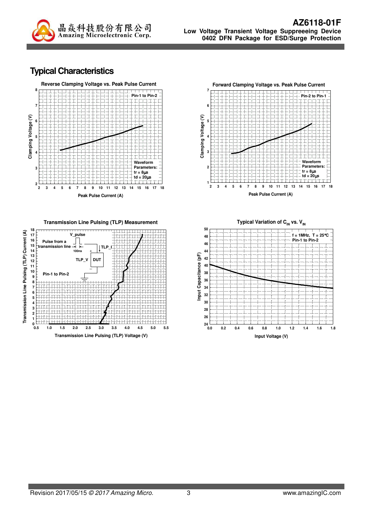

### **Typical Characteristics**



**Transmission Line Pulsing (TLP) Voltage (V) 0.5 1.0 1.5 2.0 2.5 3.0 3.5 4.0 4.5 5.0 5.5**





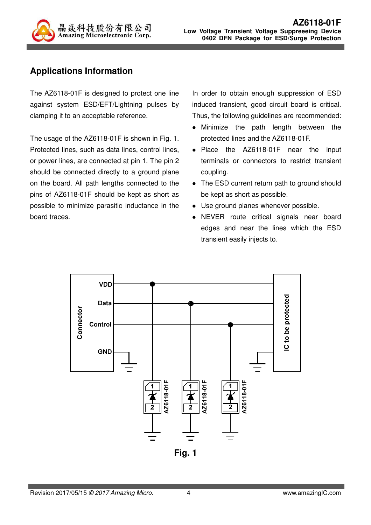

## **Applications Information**

The AZ6118-01F is designed to protect one line against system ESD/EFT/Lightning pulses by clamping it to an acceptable reference.

The usage of the AZ6118-01F is shown in Fig. 1. Protected lines, such as data lines, control lines, or power lines, are connected at pin 1. The pin 2 should be connected directly to a ground plane on the board. All path lengths connected to the pins of AZ6118-01F should be kept as short as possible to minimize parasitic inductance in the board traces.

In order to obtain enough suppression of ESD induced transient, good circuit board is critical. Thus, the following guidelines are recommended:

- Minimize the path length between the protected lines and the AZ6118-01F.
- Place the AZ6118-01F near the input terminals or connectors to restrict transient coupling.
- The ESD current return path to ground should be kept as short as possible.
- Use ground planes whenever possible.
- NEVER route critical signals near board edges and near the lines which the ESD transient easily injects to.

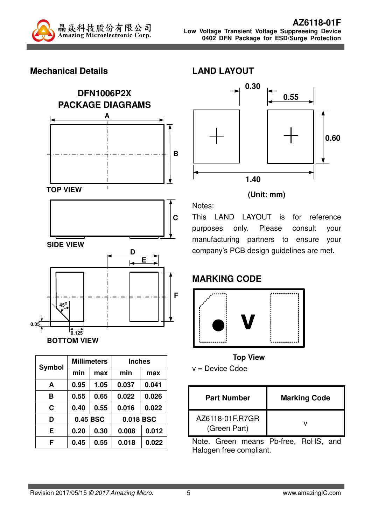

## **Mechanical Details**



| Symbol |          | <b>Millimeters</b> |       | <b>Inches</b> |  |  |
|--------|----------|--------------------|-------|---------------|--|--|
|        | min      | max                | min   | max           |  |  |
| A      | 0.95     | 1.05               | 0.037 | 0.041         |  |  |
| в      | 0.55     | 0.65               | 0.022 | 0.026         |  |  |
| C      | 0.40     | 0.55               | 0.016 | 0.022         |  |  |
| D      | 0.45 BSC |                    |       | 0.018 BSC     |  |  |
| E      | 0.20     | 0.30               | 0.008 | 0.012         |  |  |
| F      | 0.45     | 0.55               | 0.018 | 0.022         |  |  |



#### **(Unit: mm)**

This LAND LAYOUT is for reference purposes only. Please consult your manufacturing partners to ensure your company's PCB design guidelines are met.

## **MARKING CODE**

**LAND LAYOUT** 



**Top View** 

v = Device Cdoe

| <b>Part Number</b>              | <b>Marking Code</b> |
|---------------------------------|---------------------|
| AZ6118-01F.R7GR<br>(Green Part) |                     |

Note. Green means Pb-free, RoHS, and Halogen free compliant.